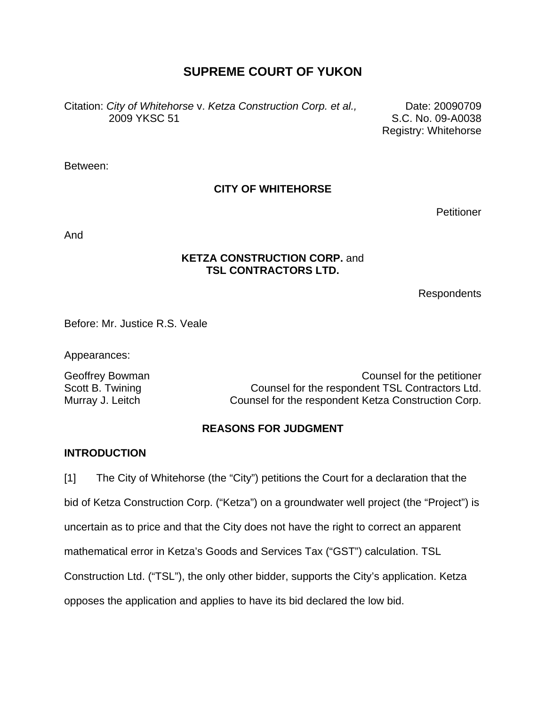# **SUPREME COURT OF YUKON**

Citation: *City of Whitehorse* v. *Ketza Construction Corp. et al.,* 2009 YKSC 51

Date: 20090709 S.C. No. 09-A0038 Registry: Whitehorse

Between:

#### **CITY OF WHITEHORSE**

**Petitioner** 

And

#### **KETZA CONSTRUCTION CORP.** and **TSL CONTRACTORS LTD.**

Respondents

Before: Mr. Justice R.S. Veale

Appearances:

Geoffrey Bowman Counsel for the petitioner Scott B. Twining **Counsel for the respondent TSL Contractors Ltd.** Murray J. Leitch Counsel for the respondent Ketza Construction Corp.

#### **REASONS FOR JUDGMENT**

#### **INTRODUCTION**

[1] The City of Whitehorse (the "City") petitions the Court for a declaration that the bid of Ketza Construction Corp. ("Ketza") on a groundwater well project (the "Project") is uncertain as to price and that the City does not have the right to correct an apparent mathematical error in Ketza's Goods and Services Tax ("GST") calculation. TSL Construction Ltd. ("TSL"), the only other bidder, supports the City's application. Ketza opposes the application and applies to have its bid declared the low bid.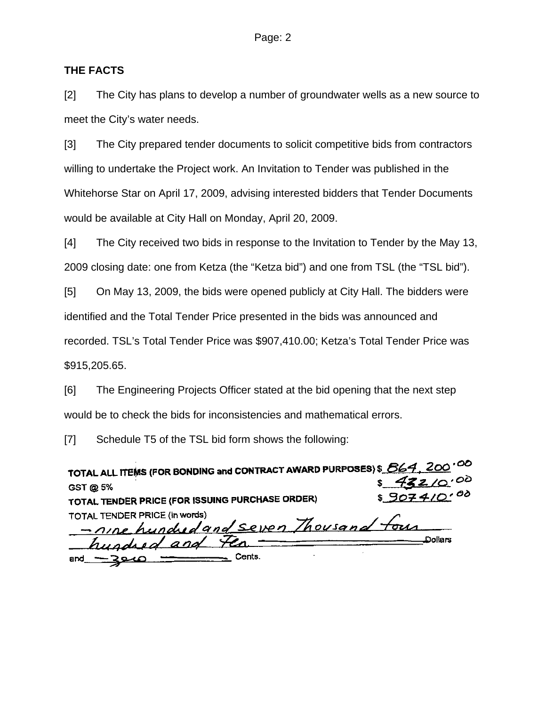#### **THE FACTS**

[2] The City has plans to develop a number of groundwater wells as a new source to meet the City's water needs.

[3] The City prepared tender documents to solicit competitive bids from contractors willing to undertake the Project work. An Invitation to Tender was published in the Whitehorse Star on April 17, 2009, advising interested bidders that Tender Documents would be available at City Hall on Monday, April 20, 2009.

[4] The City received two bids in response to the Invitation to Tender by the May 13, 2009 closing date: one from Ketza (the "Ketza bid") and one from TSL (the "TSL bid").

[5] On May 13, 2009, the bids were opened publicly at City Hall. The bidders were identified and the Total Tender Price presented in the bids was announced and recorded. TSL's Total Tender Price was \$907,410.00; Ketza's Total Tender Price was \$915,205.65.

[6] The Engineering Projects Officer stated at the bid opening that the next step would be to check the bids for inconsistencies and mathematical errors.

[7] Schedule T5 of the TSL bid form shows the following:

| TOTAL ALL ITEMS (FOR BONDING and CONTRACT AWARD PURPOSES) \$ 864, 200 <sup>'CO</sup> |             |
|--------------------------------------------------------------------------------------|-------------|
| GST @ 5%                                                                             | 432/0.00    |
| TOTAL TENDER PRICE (FOR ISSUING PURCHASE ORDER)                                      | \$9074/0.00 |
| TOTAL TENDER PRICE (in words)                                                        |             |
| -nine hundred and seven Thousand four                                                |             |
| hundred and Fen                                                                      | Dollars     |
| Cents.<br>and $-20.0$                                                                |             |

 $\sim$   $\sim$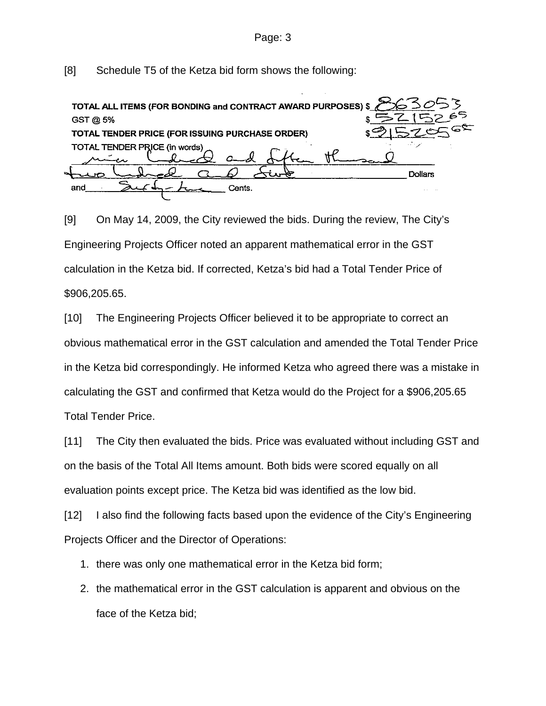Page: 3

[8] Schedule T5 of the Ketza bid form shows the following:

| TOTAL ALL ITEMS (FOR BONDING and CONTRACT AWARD PURPOSES) \$ |                |
|--------------------------------------------------------------|----------------|
| GST @ 5%                                                     |                |
| TOTAL TENDER PRICE (FOR ISSUING PURCHASE ORDER)              |                |
| TOTAL TENDER PRICE (in words)                                |                |
|                                                              | <b>Dollars</b> |
| Cents.<br>and                                                |                |

[9] On May 14, 2009, the City reviewed the bids. During the review, The City's Engineering Projects Officer noted an apparent mathematical error in the GST calculation in the Ketza bid. If corrected, Ketza's bid had a Total Tender Price of \$906,205.65.

[10] The Engineering Projects Officer believed it to be appropriate to correct an obvious mathematical error in the GST calculation and amended the Total Tender Price in the Ketza bid correspondingly. He informed Ketza who agreed there was a mistake in calculating the GST and confirmed that Ketza would do the Project for a \$906,205.65 Total Tender Price.

[11] The City then evaluated the bids. Price was evaluated without including GST and on the basis of the Total All Items amount. Both bids were scored equally on all evaluation points except price. The Ketza bid was identified as the low bid.

[12] I also find the following facts based upon the evidence of the City's Engineering Projects Officer and the Director of Operations:

- 1. there was only one mathematical error in the Ketza bid form;
- 2. the mathematical error in the GST calculation is apparent and obvious on the face of the Ketza bid;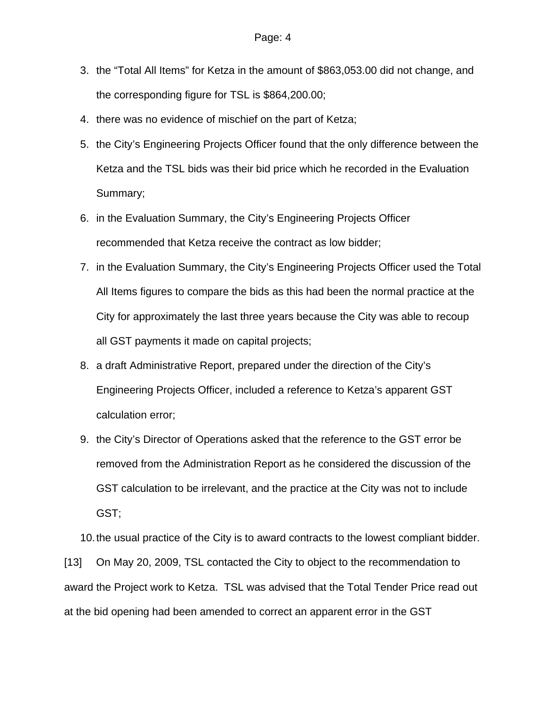- 3. the "Total All Items" for Ketza in the amount of \$863,053.00 did not change, and the corresponding figure for TSL is \$864,200.00;
- 4. there was no evidence of mischief on the part of Ketza;
- 5. the City's Engineering Projects Officer found that the only difference between the Ketza and the TSL bids was their bid price which he recorded in the Evaluation Summary;
- 6. in the Evaluation Summary, the City's Engineering Projects Officer recommended that Ketza receive the contract as low bidder;
- 7. in the Evaluation Summary, the City's Engineering Projects Officer used the Total All Items figures to compare the bids as this had been the normal practice at the City for approximately the last three years because the City was able to recoup all GST payments it made on capital projects;
- 8. a draft Administrative Report, prepared under the direction of the City's Engineering Projects Officer, included a reference to Ketza's apparent GST calculation error;
- 9. the City's Director of Operations asked that the reference to the GST error be removed from the Administration Report as he considered the discussion of the GST calculation to be irrelevant, and the practice at the City was not to include GST;

10. the usual practice of the City is to award contracts to the lowest compliant bidder. [13] On May 20, 2009, TSL contacted the City to object to the recommendation to award the Project work to Ketza. TSL was advised that the Total Tender Price read out at the bid opening had been amended to correct an apparent error in the GST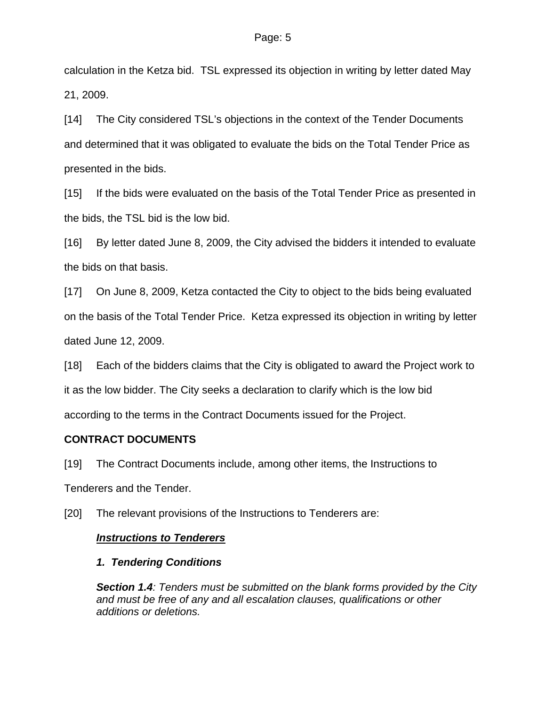calculation in the Ketza bid. TSL expressed its objection in writing by letter dated May 21, 2009.

[14] The City considered TSL's objections in the context of the Tender Documents and determined that it was obligated to evaluate the bids on the Total Tender Price as presented in the bids.

[15] If the bids were evaluated on the basis of the Total Tender Price as presented in the bids, the TSL bid is the low bid.

[16] By letter dated June 8, 2009, the City advised the bidders it intended to evaluate the bids on that basis.

[17] On June 8, 2009, Ketza contacted the City to object to the bids being evaluated on the basis of the Total Tender Price. Ketza expressed its objection in writing by letter dated June 12, 2009.

[18] Each of the bidders claims that the City is obligated to award the Project work to it as the low bidder. The City seeks a declaration to clarify which is the low bid according to the terms in the Contract Documents issued for the Project.

#### **CONTRACT DOCUMENTS**

[19] The Contract Documents include, among other items, the Instructions to Tenderers and the Tender.

[20] The relevant provisions of the Instructions to Tenderers are:

#### *Instructions to Tenderers*

# *1. Tendering Conditions*

*Section 1.4: Tenders must be submitted on the blank forms provided by the City and must be free of any and all escalation clauses, qualifications or other additions or deletions.*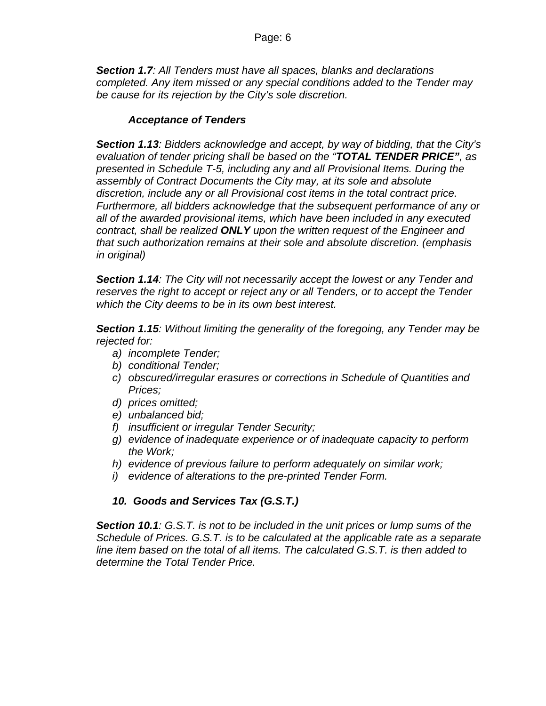*Section 1.7: All Tenders must have all spaces, blanks and declarations completed. Any item missed or any special conditions added to the Tender may be cause for its rejection by the City's sole discretion.* 

#### *Acceptance of Tenders*

*Section 1.13: Bidders acknowledge and accept, by way of bidding, that the City's evaluation of tender pricing shall be based on the "TOTAL TENDER PRICE", as presented in Schedule T-5, including any and all Provisional Items. During the assembly of Contract Documents the City may, at its sole and absolute discretion, include any or all Provisional cost items in the total contract price. Furthermore, all bidders acknowledge that the subsequent performance of any or all of the awarded provisional items, which have been included in any executed contract, shall be realized ONLY upon the written request of the Engineer and that such authorization remains at their sole and absolute discretion. (emphasis in original)* 

*Section 1.14: The City will not necessarily accept the lowest or any Tender and reserves the right to accept or reject any or all Tenders, or to accept the Tender which the City deems to be in its own best interest.* 

*Section 1.15: Without limiting the generality of the foregoing, any Tender may be rejected for:* 

- *a) incomplete Tender;*
- *b) conditional Tender;*
- *c) obscured/irregular erasures or corrections in Schedule of Quantities and Prices;*
- *d) prices omitted;*
- *e) unbalanced bid;*
- *f) insufficient or irregular Tender Security;*
- *g) evidence of inadequate experience or of inadequate capacity to perform the Work;*
- *h) evidence of previous failure to perform adequately on similar work;*
- *i) evidence of alterations to the pre-printed Tender Form.*

#### *10. Goods and Services Tax (G.S.T.)*

*Section 10.1: G.S.T. is not to be included in the unit prices or lump sums of the Schedule of Prices. G.S.T. is to be calculated at the applicable rate as a separate line item based on the total of all items. The calculated G.S.T. is then added to determine the Total Tender Price.*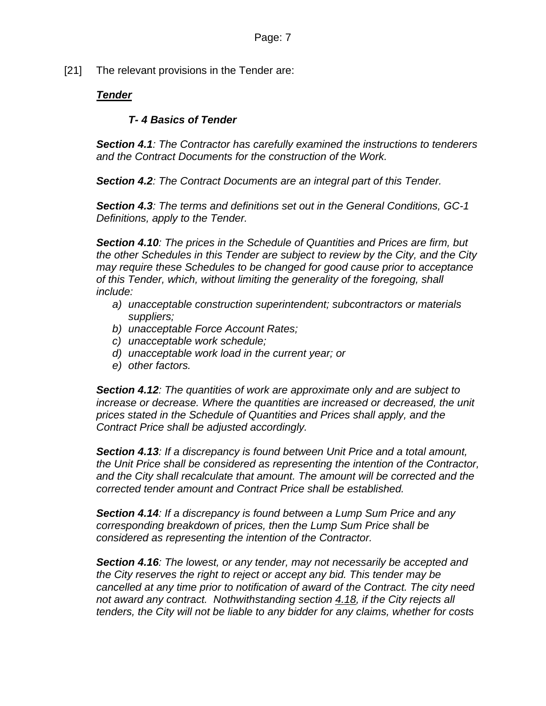[21] The relevant provisions in the Tender are:

### *Tender*

#### *T- 4 Basics of Tender*

*Section 4.1: The Contractor has carefully examined the instructions to tenderers and the Contract Documents for the construction of the Work.* 

*Section 4.2: The Contract Documents are an integral part of this Tender.* 

*Section 4.3: The terms and definitions set out in the General Conditions, GC-1 Definitions, apply to the Tender.* 

*Section 4.10: The prices in the Schedule of Quantities and Prices are firm, but the other Schedules in this Tender are subject to review by the City, and the City may require these Schedules to be changed for good cause prior to acceptance of this Tender, which, without limiting the generality of the foregoing, shall include:* 

- *a) unacceptable construction superintendent; subcontractors or materials suppliers;*
- *b) unacceptable Force Account Rates;*
- *c) unacceptable work schedule;*
- *d) unacceptable work load in the current year; or*
- *e) other factors.*

*Section 4.12: The quantities of work are approximate only and are subject to increase or decrease. Where the quantities are increased or decreased, the unit prices stated in the Schedule of Quantities and Prices shall apply, and the Contract Price shall be adjusted accordingly.* 

*Section 4.13: If a discrepancy is found between Unit Price and a total amount, the Unit Price shall be considered as representing the intention of the Contractor, and the City shall recalculate that amount. The amount will be corrected and the corrected tender amount and Contract Price shall be established.* 

*Section 4.14: If a discrepancy is found between a Lump Sum Price and any corresponding breakdown of prices, then the Lump Sum Price shall be considered as representing the intention of the Contractor.* 

*Section 4.16: The lowest, or any tender, may not necessarily be accepted and the City reserves the right to reject or accept any bid. This tender may be cancelled at any time prior to notification of award of the Contract. The city need not award any contract. Nothwithstanding section 4.18, if the City rejects all tenders, the City will not be liable to any bidder for any claims, whether for costs*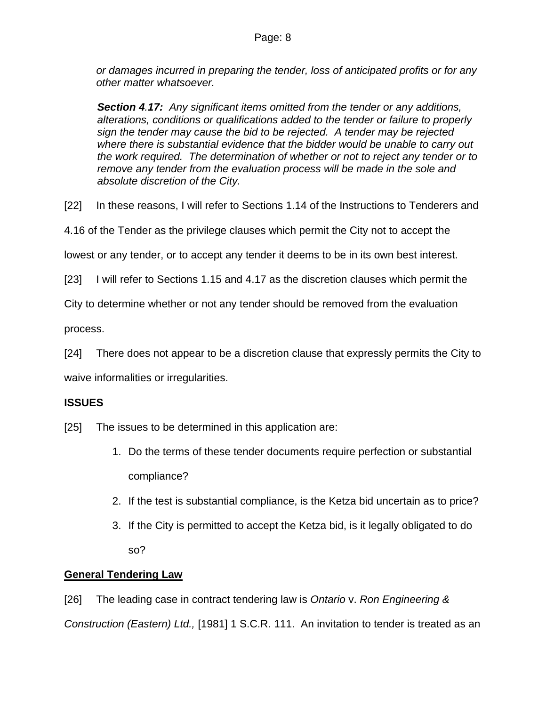*or damages incurred in preparing the tender, loss of anticipated profits or for any other matter whatsoever.* 

*Section 4.17: Any significant items omitted from the tender or any additions, alterations, conditions or qualifications added to the tender or failure to properly sign the tender may cause the bid to be rejected. A tender may be rejected where there is substantial evidence that the bidder would be unable to carry out the work required. The determination of whether or not to reject any tender or to remove any tender from the evaluation process will be made in the sole and absolute discretion of the City.* 

[22] In these reasons, I will refer to Sections 1.14 of the Instructions to Tenderers and

4.16 of the Tender as the privilege clauses which permit the City not to accept the

lowest or any tender, or to accept any tender it deems to be in its own best interest.

[23] I will refer to Sections 1.15 and 4.17 as the discretion clauses which permit the

City to determine whether or not any tender should be removed from the evaluation

process.

[24] There does not appear to be a discretion clause that expressly permits the City to

waive informalities or irregularities.

#### **ISSUES**

[25] The issues to be determined in this application are:

- 1. Do the terms of these tender documents require perfection or substantial compliance?
- 2. If the test is substantial compliance, is the Ketza bid uncertain as to price?
- 3. If the City is permitted to accept the Ketza bid, is it legally obligated to do so?

# **General Tendering Law**

[26] The leading case in contract tendering law is *Ontario* v. *Ron Engineering & Construction (Eastern) Ltd.,* [1981] 1 S.C.R. 111. An invitation to tender is treated as an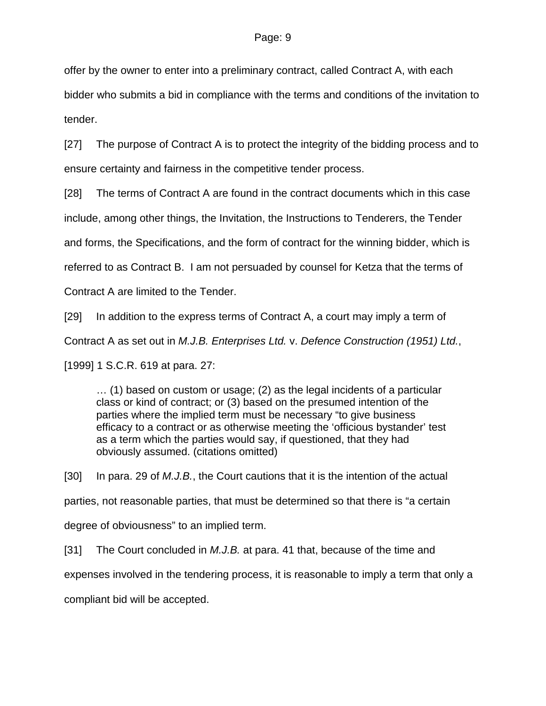offer by the owner to enter into a preliminary contract, called Contract A, with each

bidder who submits a bid in compliance with the terms and conditions of the invitation to tender.

[27] The purpose of Contract A is to protect the integrity of the bidding process and to ensure certainty and fairness in the competitive tender process.

[28] The terms of Contract A are found in the contract documents which in this case

include, among other things, the Invitation, the Instructions to Tenderers, the Tender

and forms, the Specifications, and the form of contract for the winning bidder, which is

referred to as Contract B. I am not persuaded by counsel for Ketza that the terms of

Contract A are limited to the Tender.

[29] In addition to the express terms of Contract A, a court may imply a term of

Contract A as set out in *M.J.B. Enterprises Ltd.* v. *Defence Construction (1951) Ltd.*,

[1999] 1 S.C.R. 619 at para. 27:

… (1) based on custom or usage; (2) as the legal incidents of a particular class or kind of contract; or (3) based on the presumed intention of the parties where the implied term must be necessary "to give business efficacy to a contract or as otherwise meeting the 'officious bystander' test as a term which the parties would say, if questioned, that they had obviously assumed. (citations omitted)

[30] In para. 29 of *M.J.B.*, the Court cautions that it is the intention of the actual parties, not reasonable parties, that must be determined so that there is "a certain degree of obviousness" to an implied term.

[31] The Court concluded in *M.J.B.* at para. 41 that, because of the time and expenses involved in the tendering process, it is reasonable to imply a term that only a compliant bid will be accepted.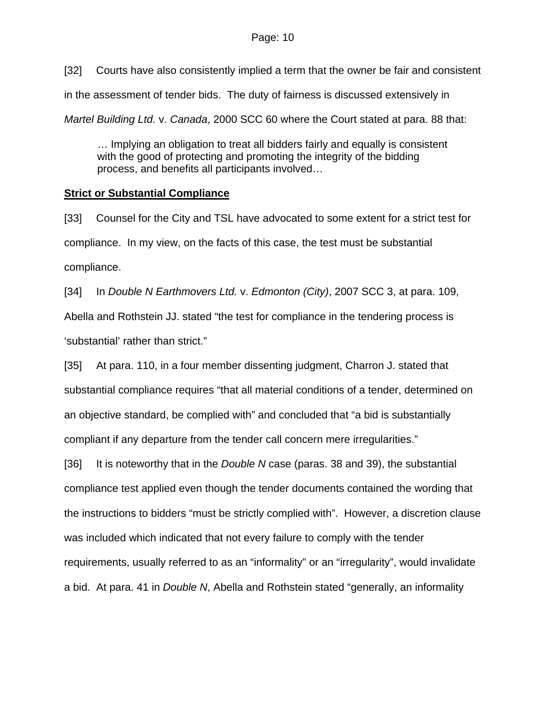[32] Courts have also consistently implied a term that the owner be fair and consistent in the assessment of tender bids. The duty of fairness is discussed extensively in *Martel Building Ltd.* v. *Canada*, 2000 SCC 60 where the Court stated at para. 88 that:

… Implying an obligation to treat all bidders fairly and equally is consistent with the good of protecting and promoting the integrity of the bidding process, and benefits all participants involved…

### **Strict or Substantial Compliance**

[33] Counsel for the City and TSL have advocated to some extent for a strict test for compliance. In my view, on the facts of this case, the test must be substantial compliance.

[34] In *Double N Earthmovers Ltd.* v. *Edmonton (City)*, 2007 SCC 3, at para. 109, Abella and Rothstein JJ. stated "the test for compliance in the tendering process is 'substantial' rather than strict."

[35] At para. 110, in a four member dissenting judgment, Charron J. stated that substantial compliance requires "that all material conditions of a tender, determined on an objective standard, be complied with" and concluded that "a bid is substantially compliant if any departure from the tender call concern mere irregularities."

[36] It is noteworthy that in the *Double N* case (paras. 38 and 39), the substantial compliance test applied even though the tender documents contained the wording that the instructions to bidders "must be strictly complied with". However, a discretion clause was included which indicated that not every failure to comply with the tender requirements, usually referred to as an "informality" or an "irregularity", would invalidate a bid. At para. 41 in *Double N*, Abella and Rothstein stated "generally, an informality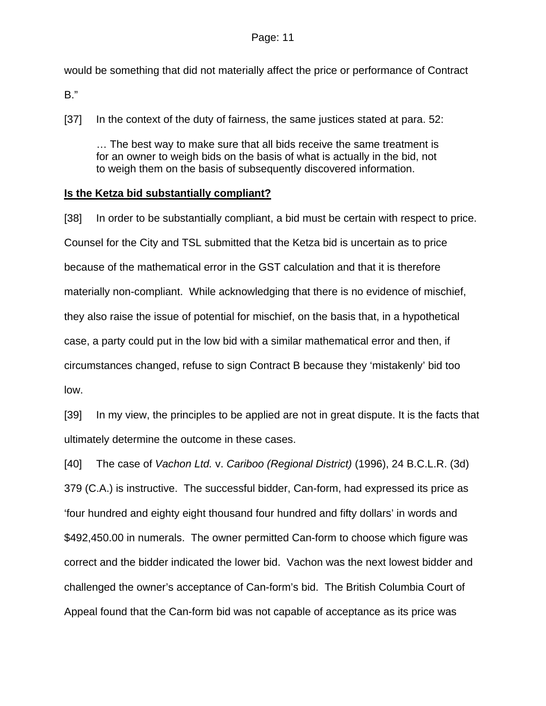would be something that did not materially affect the price or performance of Contract

B."

[37] In the context of the duty of fairness, the same justices stated at para. 52:

… The best way to make sure that all bids receive the same treatment is for an owner to weigh bids on the basis of what is actually in the bid, not to weigh them on the basis of subsequently discovered information.

#### **Is the Ketza bid substantially compliant?**

[38] In order to be substantially compliant, a bid must be certain with respect to price. Counsel for the City and TSL submitted that the Ketza bid is uncertain as to price because of the mathematical error in the GST calculation and that it is therefore materially non-compliant. While acknowledging that there is no evidence of mischief, they also raise the issue of potential for mischief, on the basis that, in a hypothetical case, a party could put in the low bid with a similar mathematical error and then, if circumstances changed, refuse to sign Contract B because they 'mistakenly' bid too low.

[39] In my view, the principles to be applied are not in great dispute. It is the facts that ultimately determine the outcome in these cases.

[40] The case of *Vachon Ltd.* v. *Cariboo (Regional District)* (1996), 24 B.C.L.R. (3d) 379 (C.A.) is instructive. The successful bidder, Can-form, had expressed its price as 'four hundred and eighty eight thousand four hundred and fifty dollars' in words and \$492,450.00 in numerals. The owner permitted Can-form to choose which figure was correct and the bidder indicated the lower bid. Vachon was the next lowest bidder and challenged the owner's acceptance of Can-form's bid. The British Columbia Court of Appeal found that the Can-form bid was not capable of acceptance as its price was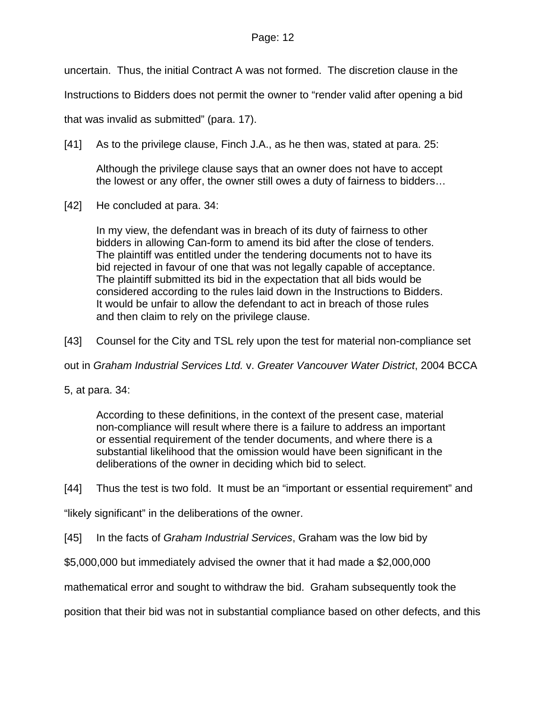#### Page: 12

uncertain. Thus, the initial Contract A was not formed. The discretion clause in the

Instructions to Bidders does not permit the owner to "render valid after opening a bid

that was invalid as submitted" (para. 17).

[41] As to the privilege clause, Finch J.A., as he then was, stated at para. 25:

Although the privilege clause says that an owner does not have to accept the lowest or any offer, the owner still owes a duty of fairness to bidders…

[42] He concluded at para. 34:

In my view, the defendant was in breach of its duty of fairness to other bidders in allowing Can-form to amend its bid after the close of tenders. The plaintiff was entitled under the tendering documents not to have its bid rejected in favour of one that was not legally capable of acceptance. The plaintiff submitted its bid in the expectation that all bids would be considered according to the rules laid down in the Instructions to Bidders. It would be unfair to allow the defendant to act in breach of those rules and then claim to rely on the privilege clause.

[43] Counsel for the City and TSL rely upon the test for material non-compliance set

out in *Graham Industrial Services Ltd.* v. *Greater Vancouver Water District*, 2004 BCCA

5, at para. 34:

According to these definitions, in the context of the present case, material non-compliance will result where there is a failure to address an important or essential requirement of the tender documents, and where there is a substantial likelihood that the omission would have been significant in the deliberations of the owner in deciding which bid to select.

[44] Thus the test is two fold. It must be an "important or essential requirement" and

"likely significant" in the deliberations of the owner.

[45] In the facts of *Graham Industrial Services*, Graham was the low bid by

\$5,000,000 but immediately advised the owner that it had made a \$2,000,000

mathematical error and sought to withdraw the bid. Graham subsequently took the

position that their bid was not in substantial compliance based on other defects, and this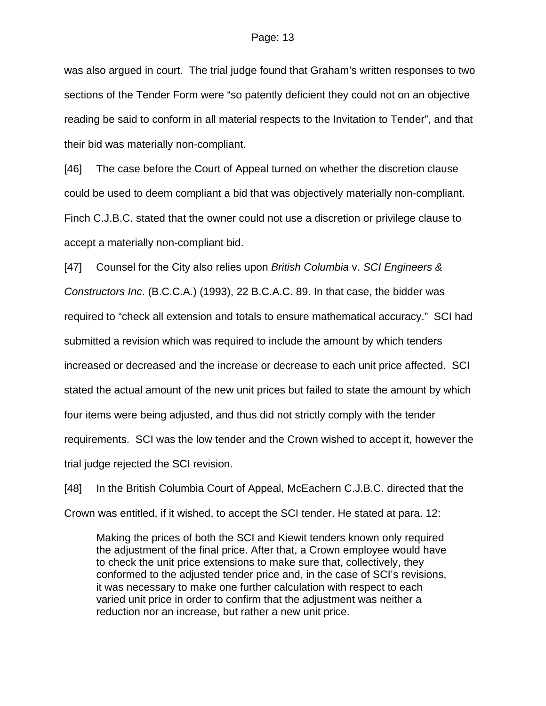was also argued in court. The trial judge found that Graham's written responses to two sections of the Tender Form were "so patently deficient they could not on an objective reading be said to conform in all material respects to the Invitation to Tender", and that their bid was materially non-compliant.

[46] The case before the Court of Appeal turned on whether the discretion clause could be used to deem compliant a bid that was objectively materially non-compliant. Finch C.J.B.C. stated that the owner could not use a discretion or privilege clause to accept a materially non-compliant bid.

[47] Counsel for the City also relies upon *British Columbia* v. *SCI Engineers & Constructors Inc*. (B.C.C.A.) (1993), 22 B.C.A.C. 89. In that case, the bidder was required to "check all extension and totals to ensure mathematical accuracy." SCI had submitted a revision which was required to include the amount by which tenders increased or decreased and the increase or decrease to each unit price affected. SCI stated the actual amount of the new unit prices but failed to state the amount by which four items were being adjusted, and thus did not strictly comply with the tender requirements. SCI was the low tender and the Crown wished to accept it, however the trial judge rejected the SCI revision.

[48] In the British Columbia Court of Appeal, McEachern C.J.B.C. directed that the Crown was entitled, if it wished, to accept the SCI tender. He stated at para. 12:

Making the prices of both the SCI and Kiewit tenders known only required the adjustment of the final price. After that, a Crown employee would have to check the unit price extensions to make sure that, collectively, they conformed to the adjusted tender price and, in the case of SCI's revisions, it was necessary to make one further calculation with respect to each varied unit price in order to confirm that the adjustment was neither a reduction nor an increase, but rather a new unit price.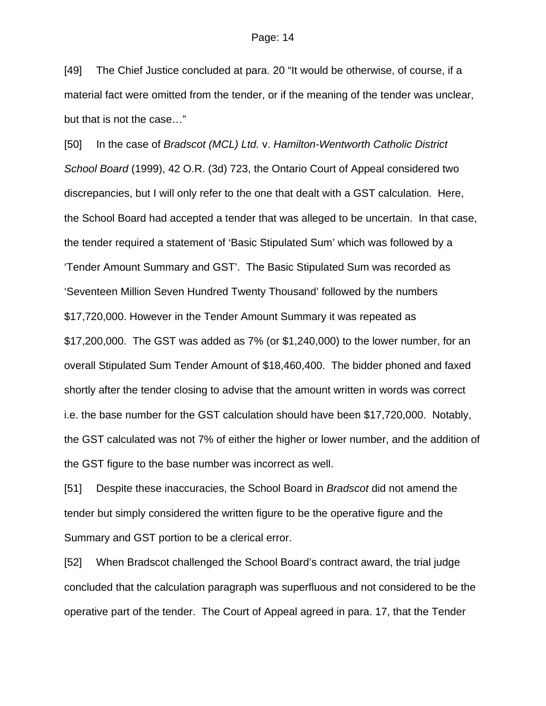[49] The Chief Justice concluded at para. 20 "It would be otherwise, of course, if a material fact were omitted from the tender, or if the meaning of the tender was unclear, but that is not the case…"

[50] In the case of *Bradscot (MCL) Ltd.* v. *Hamilton-Wentworth Catholic District School Board* (1999), 42 O.R. (3d) 723, the Ontario Court of Appeal considered two discrepancies, but I will only refer to the one that dealt with a GST calculation. Here, the School Board had accepted a tender that was alleged to be uncertain. In that case, the tender required a statement of 'Basic Stipulated Sum' which was followed by a 'Tender Amount Summary and GST'. The Basic Stipulated Sum was recorded as 'Seventeen Million Seven Hundred Twenty Thousand' followed by the numbers \$17,720,000. However in the Tender Amount Summary it was repeated as \$17,200,000. The GST was added as 7% (or \$1,240,000) to the lower number, for an overall Stipulated Sum Tender Amount of \$18,460,400. The bidder phoned and faxed shortly after the tender closing to advise that the amount written in words was correct i.e. the base number for the GST calculation should have been \$17,720,000. Notably, the GST calculated was not 7% of either the higher or lower number, and the addition of the GST figure to the base number was incorrect as well.

[51] Despite these inaccuracies, the School Board in *Bradscot* did not amend the tender but simply considered the written figure to be the operative figure and the Summary and GST portion to be a clerical error.

[52] When Bradscot challenged the School Board's contract award, the trial judge concluded that the calculation paragraph was superfluous and not considered to be the operative part of the tender. The Court of Appeal agreed in para. 17, that the Tender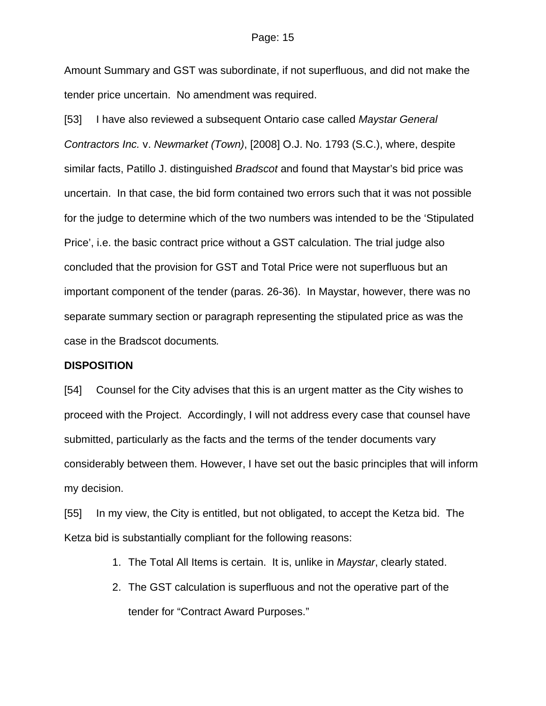#### Page: 15

Amount Summary and GST was subordinate, if not superfluous, and did not make the tender price uncertain. No amendment was required.

[53] I have also reviewed a subsequent Ontario case called *Maystar General Contractors Inc.* v. *Newmarket (Town)*, [2008] O.J. No. 1793 (S.C.), where, despite similar facts, Patillo J. distinguished *Bradscot* and found that Maystar's bid price was uncertain. In that case, the bid form contained two errors such that it was not possible for the judge to determine which of the two numbers was intended to be the 'Stipulated Price', i.e. the basic contract price without a GST calculation. The trial judge also concluded that the provision for GST and Total Price were not superfluous but an important component of the tender (paras. 26-36). In Maystar, however, there was no separate summary section or paragraph representing the stipulated price as was the case in the Bradscot documents*.*

#### **DISPOSITION**

[54] Counsel for the City advises that this is an urgent matter as the City wishes to proceed with the Project. Accordingly, I will not address every case that counsel have submitted, particularly as the facts and the terms of the tender documents vary considerably between them. However, I have set out the basic principles that will inform my decision.

[55] In my view, the City is entitled, but not obligated, to accept the Ketza bid. The Ketza bid is substantially compliant for the following reasons:

- 1. The Total All Items is certain. It is, unlike in *Maystar*, clearly stated.
- 2. The GST calculation is superfluous and not the operative part of the tender for "Contract Award Purposes."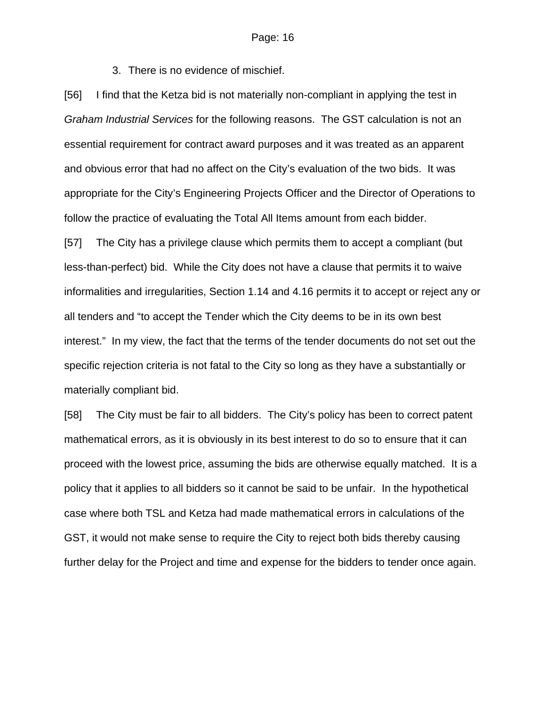3. There is no evidence of mischief.

[56] I find that the Ketza bid is not materially non-compliant in applying the test in *Graham Industrial Services* for the following reasons. The GST calculation is not an essential requirement for contract award purposes and it was treated as an apparent and obvious error that had no affect on the City's evaluation of the two bids. It was appropriate for the City's Engineering Projects Officer and the Director of Operations to follow the practice of evaluating the Total All Items amount from each bidder.

[57] The City has a privilege clause which permits them to accept a compliant (but less-than-perfect) bid. While the City does not have a clause that permits it to waive informalities and irregularities, Section 1.14 and 4.16 permits it to accept or reject any or all tenders and "to accept the Tender which the City deems to be in its own best interest." In my view, the fact that the terms of the tender documents do not set out the specific rejection criteria is not fatal to the City so long as they have a substantially or materially compliant bid.

[58] The City must be fair to all bidders. The City's policy has been to correct patent mathematical errors, as it is obviously in its best interest to do so to ensure that it can proceed with the lowest price, assuming the bids are otherwise equally matched. It is a policy that it applies to all bidders so it cannot be said to be unfair. In the hypothetical case where both TSL and Ketza had made mathematical errors in calculations of the GST, it would not make sense to require the City to reject both bids thereby causing further delay for the Project and time and expense for the bidders to tender once again.